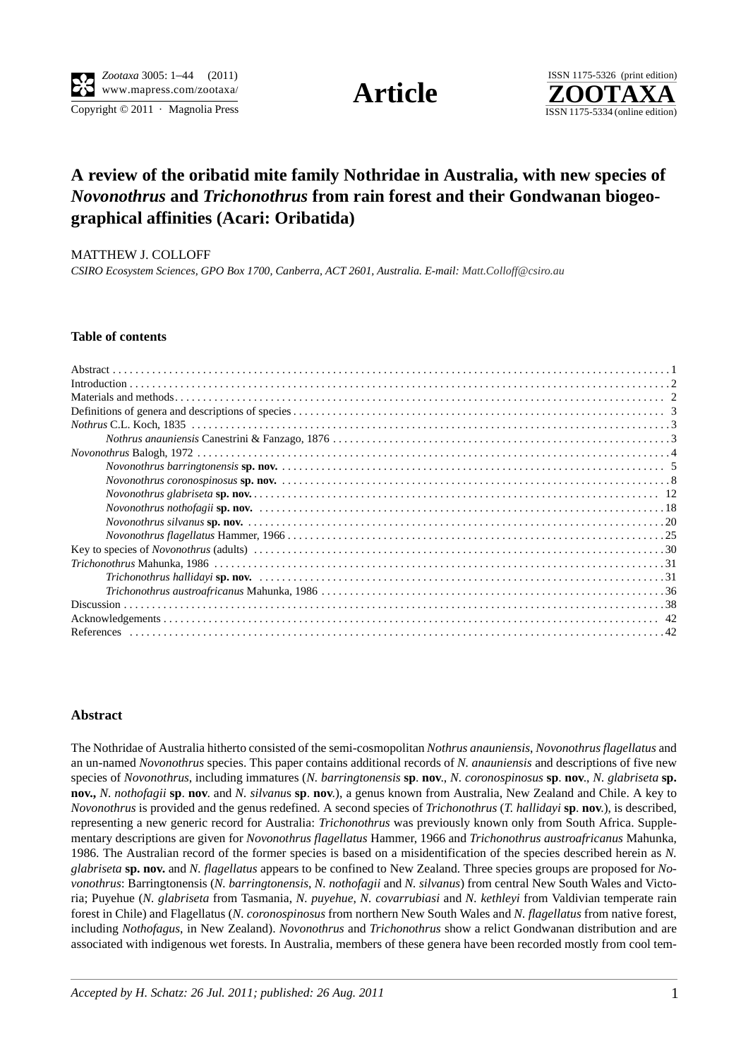Copyright  $\odot$  2011 · Magnolia Press ISSN 1175-5334 (online edition)



# **A review of the oribatid mite family Nothridae in Australia, with new species of**  *Novonothrus* **and** *Trichonothrus* **from rain forest and their Gondwanan biogeographical affinities (Acari: Oribatida)**

MATTHEW J. COLLOFF

*CSIRO Ecosystem Sciences, GPO Box 1700, Canberra, ACT 2601, Australia. E-mail: Matt.Colloff@csiro.au*

### **Table of contents**

#### **Abstract**

The Nothridae of Australia hitherto consisted of the semi-cosmopolitan *Nothrus anauniensis*, *Novonothrus flagellatus* and an un-named *Novonothrus* species. This paper contains additional records of *N. anauniensis* and descriptions of five new species of *Novonothrus*, including immatures (*N. barringtonensis* **sp**. **nov**., *N. coronospinosus* **sp**. **nov**., *N. glabriseta* **sp. nov.,** *N. nothofagii* **sp**. **nov**. and *N. silvanu*s **sp**. **nov**.), a genus known from Australia, New Zealand and Chile. A key to *Novonothrus* is provided and the genus redefined. A second species of *Trichonothrus* (*T. hallidayi* **sp**. **nov**.), is described, representing a new generic record for Australia: *Trichonothrus* was previously known only from South Africa. Supplementary descriptions are given for *Novonothrus flagellatus* Hammer, 1966 and *Trichonothrus austroafricanus* Mahunka, 1986. The Australian record of the former species is based on a misidentification of the species described herein as *N. glabriseta* **sp. nov.** and *N. flagellatus* appears to be confined to New Zealand. Three species groups are proposed for *Novonothrus*: Barringtonensis (*N. barringtonensis*, *N. nothofagii* and *N. silvanus*) from central New South Wales and Victoria; Puyehue (*N. glabriseta* from Tasmania, *N. puyehue*, *N. covarrubiasi* and *N. kethleyi* from Valdivian temperate rain forest in Chile) and Flagellatus (*N. coronospinosus* from northern New South Wales and *N. flagellatus* from native forest, including *Nothofagus*, in New Zealand). *Novonothrus* and *Trichonothrus* show a relict Gondwanan distribution and are associated with indigenous wet forests. In Australia, members of these genera have been recorded mostly from cool tem